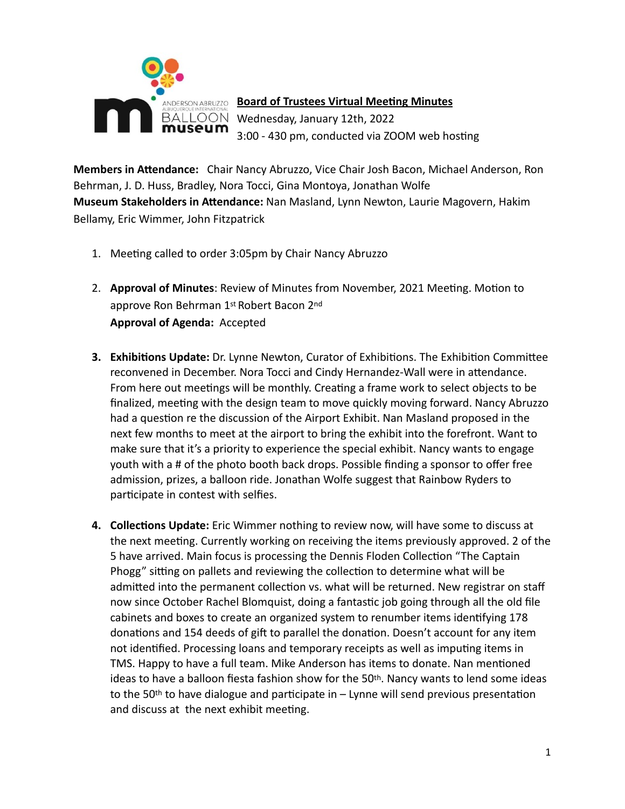

**Board of Trustees Virtual Meeting Minutes** Wednesday, January 12th, 2022 3:00 - 430 pm, conducted via ZOOM web hosting

**Members in Attendance:** Chair Nancy Abruzzo, Vice Chair Josh Bacon, Michael Anderson, Ron Behrman, J. D. Huss, Bradley, Nora Tocci, Gina Montoya, Jonathan Wolfe **Museum Stakeholders in Attendance:** Nan Masland, Lynn Newton, Laurie Magovern, Hakim Bellamy, Eric Wimmer, John Fitzpatrick

- 1. Meeting called to order 3:05pm by Chair Nancy Abruzzo
- 2. **Approval of Minutes**: Review of Minutes from November, 2021 Meeting. Motion to approve Ron Behrman 1st Robert Bacon 2nd **Approval of Agenda:** Accepted
- **3. Exhibitions Update:** Dr. Lynne Newton, Curator of Exhibitions. The Exhibition Committee reconvened in December. Nora Tocci and Cindy Hernandez-Wall were in attendance. From here out meetings will be monthly. Creating a frame work to select objects to be finalized, meeting with the design team to move quickly moving forward. Nancy Abruzzo had a question re the discussion of the Airport Exhibit. Nan Masland proposed in the next few months to meet at the airport to bring the exhibit into the forefront. Want to make sure that it's a priority to experience the special exhibit. Nancy wants to engage youth with a # of the photo booth back drops. Possible finding a sponsor to offer free admission, prizes, a balloon ride. Jonathan Wolfe suggest that Rainbow Ryders to participate in contest with selfies.
- **4. Collections Update:** Eric Wimmer nothing to review now, will have some to discuss at the next meeting. Currently working on receiving the items previously approved. 2 of the 5 have arrived. Main focus is processing the Dennis Floden Collection "The Captain Phogg" sitting on pallets and reviewing the collection to determine what will be admitted into the permanent collection vs. what will be returned. New registrar on staff now since October Rachel Blomquist, doing a fantastic job going through all the old file cabinets and boxes to create an organized system to renumber items identifying 178 donations and 154 deeds of gift to parallel the donation. Doesn't account for any item not identified. Processing loans and temporary receipts as well as imputing items in TMS. Happy to have a full team. Mike Anderson has items to donate. Nan mentioned ideas to have a balloon fiesta fashion show for the  $50<sup>th</sup>$ . Nancy wants to lend some ideas to the 50<sup>th</sup> to have dialogue and participate in  $-$  Lynne will send previous presentation and discuss at the next exhibit meeting.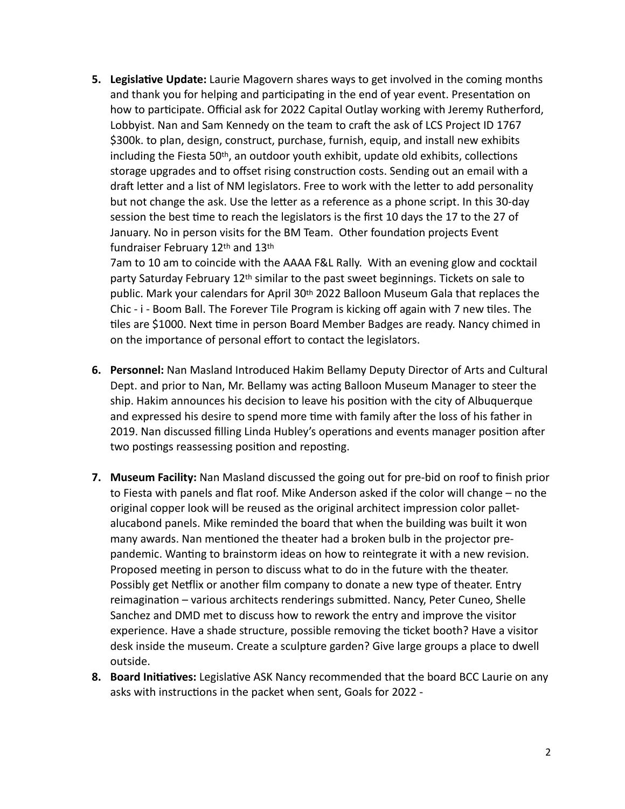**5. Legislative Update:** Laurie Magovern shares ways to get involved in the coming months and thank you for helping and participating in the end of year event. Presentation on how to participate. Official ask for 2022 Capital Outlay working with Jeremy Rutherford, Lobbyist. Nan and Sam Kennedy on the team to craft the ask of LCS Project ID 1767 \$300k. to plan, design, construct, purchase, furnish, equip, and install new exhibits including the Fiesta  $50<sup>th</sup>$ , an outdoor youth exhibit, update old exhibits, collections storage upgrades and to offset rising construction costs. Sending out an email with a draft letter and a list of NM legislators. Free to work with the letter to add personality but not change the ask. Use the letter as a reference as a phone script. In this 30-day session the best time to reach the legislators is the first 10 days the 17 to the 27 of January. No in person visits for the BM Team. Other foundation projects Event fundraiser February 12th and 13th

7am to 10 am to coincide with the AAAA F&L Rally. With an evening glow and cocktail party Saturday February 12th similar to the past sweet beginnings. Tickets on sale to public. Mark your calendars for April 30th 2022 Balloon Museum Gala that replaces the Chic - i - Boom Ball. The Forever Tile Program is kicking off again with 7 new tiles. The tiles are \$1000. Next time in person Board Member Badges are ready. Nancy chimed in on the importance of personal effort to contact the legislators.

- **6. Personnel:** Nan Masland Introduced Hakim Bellamy Deputy Director of Arts and Cultural Dept. and prior to Nan, Mr. Bellamy was acting Balloon Museum Manager to steer the ship. Hakim announces his decision to leave his position with the city of Albuquerque and expressed his desire to spend more time with family after the loss of his father in 2019. Nan discussed filling Linda Hubley's operations and events manager position after two postings reassessing position and reposting.
- **7. Museum Facility:** Nan Masland discussed the going out for pre-bid on roof to finish prior to Fiesta with panels and flat roof. Mike Anderson asked if the color will change – no the original copper look will be reused as the original architect impression color palletalucabond panels. Mike reminded the board that when the building was built it won many awards. Nan mentioned the theater had a broken bulb in the projector prepandemic. Wanting to brainstorm ideas on how to reintegrate it with a new revision. Proposed meeting in person to discuss what to do in the future with the theater. Possibly get Netflix or another film company to donate a new type of theater. Entry reimagination – various architects renderings submitted. Nancy, Peter Cuneo, Shelle Sanchez and DMD met to discuss how to rework the entry and improve the visitor experience. Have a shade structure, possible removing the ticket booth? Have a visitor desk inside the museum. Create a sculpture garden? Give large groups a place to dwell outside.
- **8. Board Initiatives:** Legislative ASK Nancy recommended that the board BCC Laurie on any asks with instructions in the packet when sent, Goals for 2022 -